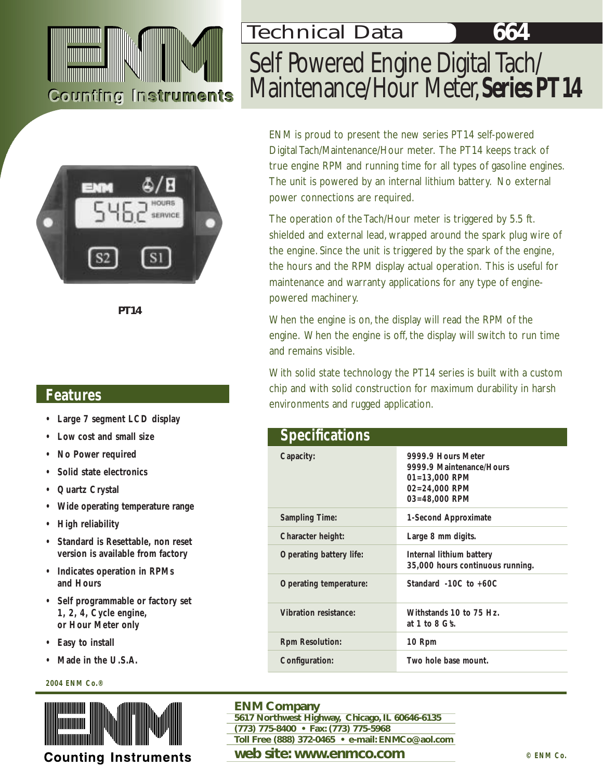# **Counting Instruments**



*PT14*

#### **Features**

- **• Large 7 segment LCD display**
- **• Low cost and small size**
- **• No Power required**
- **• Solid state electronics**
- **• Quartz Crystal**
- **Wide operating temperature range**
- **• High reliability**
- **• Standard is Resettable, non reset version is available from factory**
- **• Indicates operation in RPMs and Hours**
- **• Self programmable or factory set 1, 2, 4, Cycle engine, or Hour Meter only**
- **• Easy to install**
- **Made in the U.S.A.**

#### **2004 ENM Co.®**



# Self Powered Engine Digital Tach/ Maintenance/Hour Meter,**Series PT14** Technical Data

ENM is proud to present the new series PT14 self-powered Digital Tach/Maintenance/Hour meter. The PT14 keeps track of true engine RPM and running time for all types of gasoline engines. The unit is powered by an internal lithium battery. No external power connections are required.

The operation of the Tach/Hour meter is triggered by 5.5 ft. shielded and external lead, wrapped around the spark plug wire of the engine. Since the unit is triggered by the spark of the engine, the hours and the RPM display actual operation. This is useful for maintenance and warranty applications for any type of enginepowered machinery.

When the engine is on, the display will read the RPM of the engine. When the engine is off, the display will switch to run time and remains visible.

With solid state technology the PT14 series is built with a custom chip and with solid construction for maximum durability in harsh environments and rugged application.

| <b>Specifications</b>   |                                                                                                               |
|-------------------------|---------------------------------------------------------------------------------------------------------------|
| Capacity:               | 9999.9 Hours Meter<br>9999.9 Maintenance/Hours<br>$01 = 13,000$ RPM<br>$02 = 24,000$ RPM<br>$03 = 48,000$ RPM |
| <b>Sampling Time:</b>   | 1-Second Approximate                                                                                          |
| Character height:       | Large 8 mm digits.                                                                                            |
| Operating battery life: | Internal lithium battery<br>35,000 hours continuous running.                                                  |
| Operating temperature:  | Standard $-10C$ to $+60C$                                                                                     |
| Vibration resistance:   | Withstands 10 to 75 Hz.<br>at 1 to 8 $G\$                                                                     |
| <b>Rpm Resolution:</b>  | 10 Rpm                                                                                                        |
| Configuration:          | Two hole base mount.                                                                                          |

#### **ENM Company**

**5617 Northwest Highway, Chicago, IL 60646-6135** 

- **(773) 775-8400 Fax: (773) 775-5968**
- **Toll Free (888) 372-0465 e-mail: ENMCo@aol.com**

#### **web site: www.enmco.com**  $\circ$  **ENM Co.**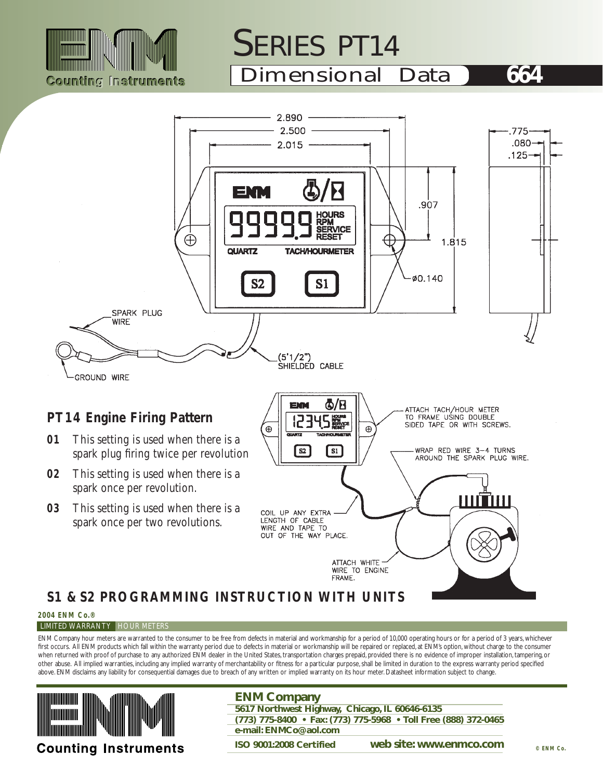

# SERIES PT14

Dimensional Data **664**



# **S1 & S2 PROGRAMMING INSTRUCTION WITH UNITS**

**2004 ENM Co.®**

#### **LIMITED WARRANTY HOUR METERS**

ENM Company hour meters are warranted to the consumer to be free from defects in material and workmanship for a period of 10,000 operating hours or for a period of 3 years, whichever first occurs. All ENM products which fall within the warranty period due to defects in material or workmanship will be repaired or replaced, at ENM's option, without charge to the consumer when returned with proof of purchase to any authorized ENM dealer in the United States, transportation charges prepaid, provided there is no evidence of improper installation, tampering, or other abuse. All implied warranties, including any implied warranty of merchantability or fitness for a particular purpose, shall be limited in duration to the express warranty period specified above. ENM disclaims any liability for consequential damages due to breach of any written or implied warranty on its hour meter. Datasheet information subject to change.



**ENM Company 5617 Northwest Highway, Chicago, IL 60646-6135 (773) 775-8400 • Fax: (773) 775-5968 • Toll Free (888) 372-0465 e-mail: ENMCo@aol.com** 

**ISO 9001:2008 Certified web site: www.enmco.com**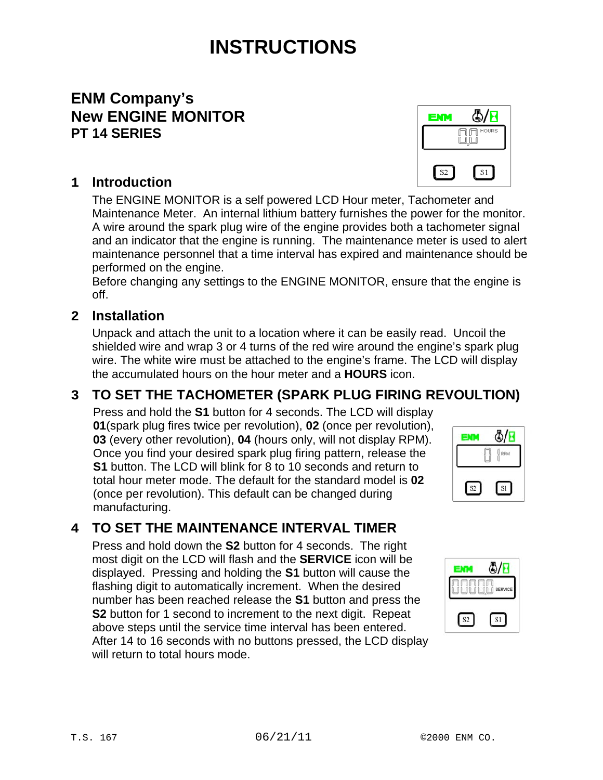# **INSTRUCTIONS**

### **ENM Company's New ENGINE MONITOR PT 14 SERIES**

#### **1 Introduction**

The ENGINE MONITOR is a self powered LCD Hour meter, Tachometer and Maintenance Meter. An internal lithium battery furnishes the power for the monitor. A wire around the spark plug wire of the engine provides both a tachometer signal and an indicator that the engine is running. The maintenance meter is used to alert maintenance personnel that a time interval has expired and maintenance should be performed on the engine.

Before changing any settings to the ENGINE MONITOR, ensure that the engine is off.

#### **2 Installation**

Unpack and attach the unit to a location where it can be easily read. Uncoil the shielded wire and wrap 3 or 4 turns of the red wire around the engine's spark plug wire. The white wire must be attached to the engine's frame. The LCD will display the accumulated hours on the hour meter and a **HOURS** icon.

### **3 TO SET THE TACHOMETER (SPARK PLUG FIRING REVOULTION)**

Press and hold the **S1** button for 4 seconds. The LCD will display **01**(spark plug fires twice per revolution), **02** (once per revolution), **03** (every other revolution), **04** (hours only, will not display RPM). Once you find your desired spark plug firing pattern, release the **S1** button. The LCD will blink for 8 to 10 seconds and return to total hour meter mode. The default for the standard model is **02** (once per revolution). This default can be changed during manufacturing.

#### **4 TO SET THE MAINTENANCE INTERVAL TIMER**

Press and hold down the **S2** button for 4 seconds. The right most digit on the LCD will flash and the **SERVICE** icon will be displayed. Pressing and holding the **S1** button will cause the flashing digit to automatically increment. When the desired number has been reached release the **S1** button and press the **S2** button for 1 second to increment to the next digit. Repeat above steps until the service time interval has been entered. After 14 to 16 seconds with no buttons pressed, the LCD display will return to total hours mode.



4/D

 $S1$ 

EMM

S2